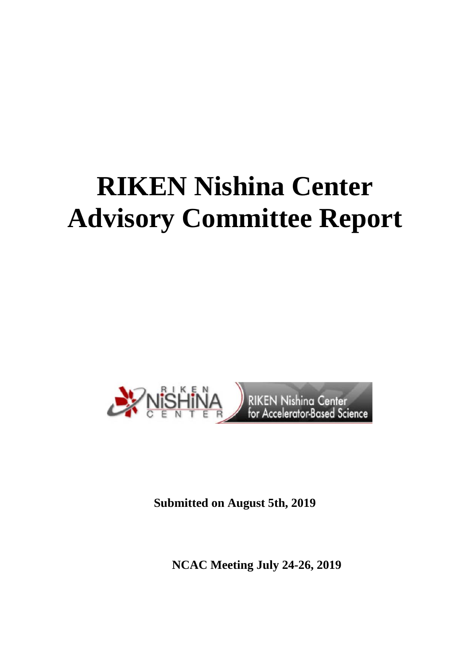# **RIKEN Nishina Center Advisory Committee Report**



**Submitted on August 5th, 2019** 

 **NCAC Meeting July 24-26, 2019**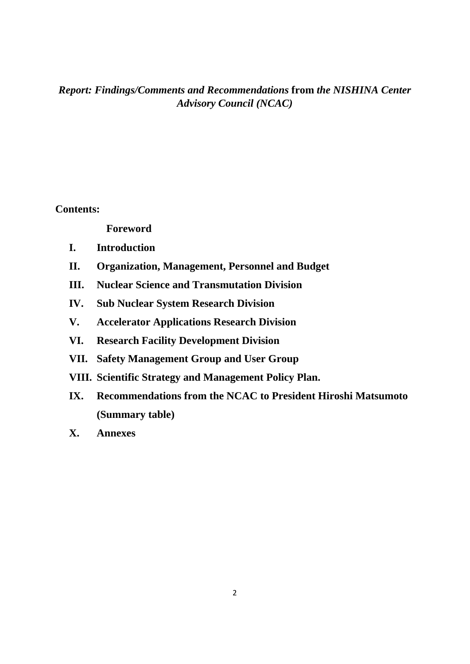# *Report: Findings/Comments and Recommendations* **from** *the NISHINA Center Advisory Council (NCAC)*

**Contents:** 

 **Foreword** 

- **I. Introduction**
- **II. Organization, Management, Personnel and Budget**
- **III. Nuclear Science and Transmutation Division**
- **IV. Sub Nuclear System Research Division**
- **V. Accelerator Applications Research Division**
- **VI. Research Facility Development Division**
- **VII. Safety Management Group and User Group**
- **VIII. Scientific Strategy and Management Policy Plan.**
- **IX. Recommendations from the NCAC to President Hiroshi Matsumoto (Summary table)**

**X. Annexes**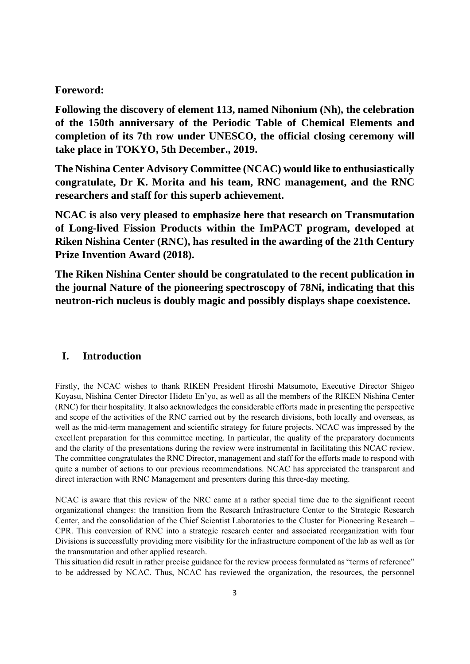#### **Foreword:**

**Following the discovery of element 113, named Nihonium (Nh), the celebration of the 150th anniversary of the Periodic Table of Chemical Elements and completion of its 7th row under UNESCO, the official closing ceremony will take place in TOKYO, 5th December., 2019.** 

**The Nishina Center Advisory Committee (NCAC) would like to enthusiastically congratulate, Dr K. Morita and his team, RNC management, and the RNC researchers and staff for this superb achievement.** 

**NCAC is also very pleased to emphasize here that research on Transmutation of Long-lived Fission Products within the ImPACT program, developed at Riken Nishina Center (RNC), has resulted in the awarding of the 21th Century Prize Invention Award (2018).** 

**The Riken Nishina Center should be congratulated to the recent publication in the journal Nature of the pioneering spectroscopy of 78Ni, indicating that this neutron-rich nucleus is doubly magic and possibly displays shape coexistence.** 

## **I. Introduction**

Firstly, the NCAC wishes to thank RIKEN President Hiroshi Matsumoto, Executive Director Shigeo Koyasu, Nishina Center Director Hideto En'yo, as well as all the members of the RIKEN Nishina Center (RNC) for their hospitality. It also acknowledges the considerable efforts made in presenting the perspective and scope of the activities of the RNC carried out by the research divisions, both locally and overseas, as well as the mid-term management and scientific strategy for future projects. NCAC was impressed by the excellent preparation for this committee meeting. In particular, the quality of the preparatory documents and the clarity of the presentations during the review were instrumental in facilitating this NCAC review. The committee congratulates the RNC Director, management and staff for the efforts made to respond with quite a number of actions to our previous recommendations. NCAC has appreciated the transparent and direct interaction with RNC Management and presenters during this three-day meeting.

NCAC is aware that this review of the NRC came at a rather special time due to the significant recent organizational changes: the transition from the Research Infrastructure Center to the Strategic Research Center, and the consolidation of the Chief Scientist Laboratories to the Cluster for Pioneering Research – CPR. This conversion of RNC into a strategic research center and associated reorganization with four Divisions is successfully providing more visibility for the infrastructure component of the lab as well as for the transmutation and other applied research.

This situation did result in rather precise guidance for the review process formulated as "terms of reference" to be addressed by NCAC. Thus, NCAC has reviewed the organization, the resources, the personnel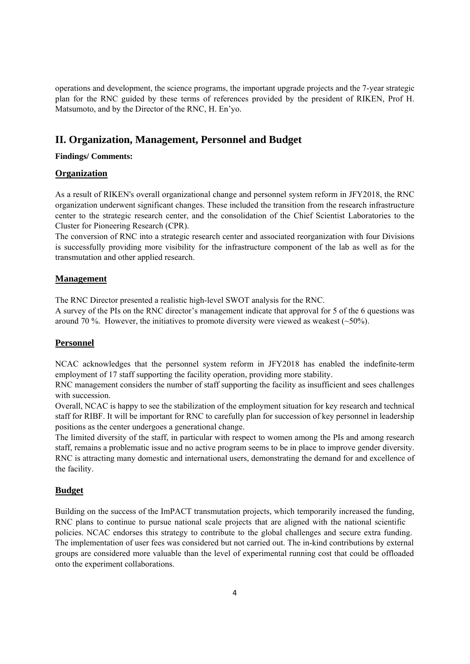operations and development, the science programs, the important upgrade projects and the 7-year strategic plan for the RNC guided by these terms of references provided by the president of RIKEN, Prof H. Matsumoto, and by the Director of the RNC, H. En'yo.

# **II. Organization, Management, Personnel and Budget**

#### **Findings/ Comments:**

#### **Organization**

As a result of RIKEN's overall organizational change and personnel system reform in JFY2018, the RNC organization underwent significant changes. These included the transition from the research infrastructure center to the strategic research center, and the consolidation of the Chief Scientist Laboratories to the Cluster for Pioneering Research (CPR).

The conversion of RNC into a strategic research center and associated reorganization with four Divisions is successfully providing more visibility for the infrastructure component of the lab as well as for the transmutation and other applied research.

#### **Management**

The RNC Director presented a realistic high-level SWOT analysis for the RNC.

A survey of the PIs on the RNC director's management indicate that approval for 5 of the 6 questions was around 70 %. However, the initiatives to promote diversity were viewed as weakest  $(\sim 50\%)$ .

#### **Personnel**

NCAC acknowledges that the personnel system reform in JFY2018 has enabled the indefinite-term employment of 17 staff supporting the facility operation, providing more stability.

RNC management considers the number of staff supporting the facility as insufficient and sees challenges with succession.

Overall, NCAC is happy to see the stabilization of the employment situation for key research and technical staff for RIBF. It will be important for RNC to carefully plan for succession of key personnel in leadership positions as the center undergoes a generational change.

The limited diversity of the staff, in particular with respect to women among the PIs and among research staff, remains a problematic issue and no active program seems to be in place to improve gender diversity. RNC is attracting many domestic and international users, demonstrating the demand for and excellence of the facility.

## **Budget**

Building on the success of the ImPACT transmutation projects, which temporarily increased the funding, RNC plans to continue to pursue national scale projects that are aligned with the national scientific policies. NCAC endorses this strategy to contribute to the global challenges and secure extra funding. The implementation of user fees was considered but not carried out. The in-kind contributions by external groups are considered more valuable than the level of experimental running cost that could be offloaded onto the experiment collaborations.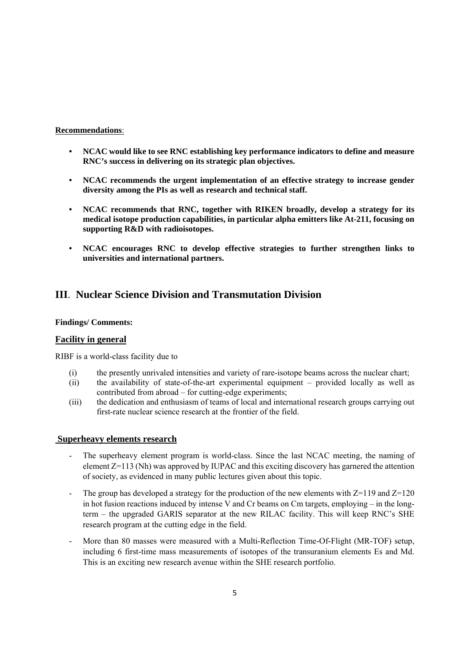#### **Recommendations**:

- **NCAC would like to see RNC establishing key performance indicators to define and measure RNC's success in delivering on its strategic plan objectives.**
- **NCAC recommends the urgent implementation of an effective strategy to increase gender diversity among the PIs as well as research and technical staff.**
- **NCAC recommends that RNC, together with RIKEN broadly, develop a strategy for its medical isotope production capabilities, in particular alpha emitters like At-211, focusing on supporting R&D with radioisotopes.**
- **NCAC encourages RNC to develop effective strategies to further strengthen links to universities and international partners.**

# **III**. **Nuclear Science Division and Transmutation Division**

#### **Findings/ Comments:**

#### **Facility in general**

RIBF is a world-class facility due to

- (i) the presently unrivaled intensities and variety of rare-isotope beams across the nuclear chart;
- (ii) the availability of state-of-the-art experimental equipment provided locally as well as contributed from abroad – for cutting-edge experiments;
- (iii) the dedication and enthusiasm of teams of local and international research groups carrying out first-rate nuclear science research at the frontier of the field.

#### **Superheavy elements research**

- The superheavy element program is world-class. Since the last NCAC meeting, the naming of element Z=113 (Nh) was approved by IUPAC and this exciting discovery has garnered the attention of society, as evidenced in many public lectures given about this topic.
- The group has developed a strategy for the production of the new elements with  $Z=119$  and  $Z=120$ in hot fusion reactions induced by intense V and Cr beams on Cm targets, employing – in the longterm – the upgraded GARIS separator at the new RILAC facility. This will keep RNC's SHE research program at the cutting edge in the field.
- More than 80 masses were measured with a Multi-Reflection Time-Of-Flight (MR-TOF) setup, including 6 first-time mass measurements of isotopes of the transuranium elements Es and Md. This is an exciting new research avenue within the SHE research portfolio.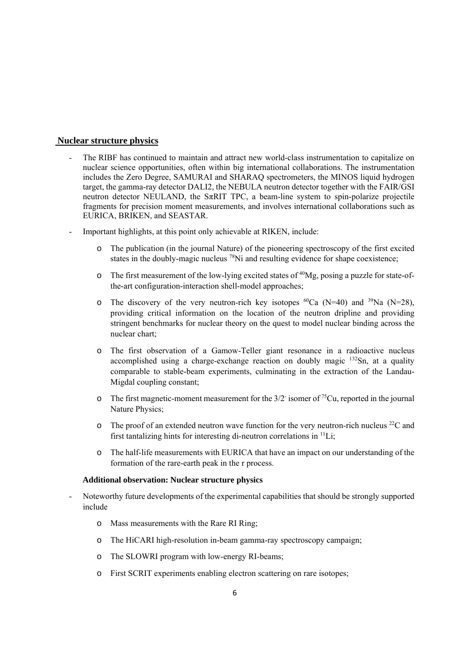#### **Nuclear structure physics**

- The RIBF has continued to maintain and attract new world-class instrumentation to capitalize on nuclear science opportunities, often within big international collaborations. The instrumentation includes the Zero Degree, SAMURAI and SHARAQ spectrometers, the MINOS liquid hydrogen target, the gamma-ray detector DALI2, the NEBULA neutron detector together with the FAIR/GSI neutron detector NEULAND, the  $S_{\pi}$ RIT TPC, a beam-line system to spin-polarize projectile fragments for precision moment measurements, and involves international collaborations such as EURICA, BRIKEN, and SEASTAR.
- Important highlights, at this point only achievable at RIKEN, include:
	- o The publication (in the journal Nature) of the pioneering spectroscopy of the first excited states in the doubly-magic nucleus  $^{78}$ Ni and resulting evidence for shape coexistence;
	- $\circ$  The first measurement of the low-lying excited states of <sup>40</sup>Mg, posing a puzzle for state-ofthe-art configuration-interaction shell-model approaches;
	- o The discovery of the very neutron-rich key isotopes  ${}^{60}Ca$  (N=40) and  ${}^{39}Na$  (N=28), providing critical information on the location of the neutron dripline and providing stringent benchmarks for nuclear theory on the quest to model nuclear binding across the nuclear chart;
	- o The first observation of a Gamow-Teller giant resonance in a radioactive nucleus accomplished using a charge-exchange reaction on doubly magic  $132$ Sn, at a quality comparable to stable-beam experiments, culminating in the extraction of the Landau-Migdal coupling constant;
	- $\circ$  The first magnetic-moment measurement for the 3/2 isomer of <sup>75</sup>Cu, reported in the journal Nature Physics;
	- $\circ$  The proof of an extended neutron wave function for the very neutron-rich nucleus <sup>22</sup>C and first tantalizing hints for interesting di-neutron correlations in  $\frac{11}{11}$ .
	- o The half-life measurements with EURICA that have an impact on our understanding of the formation of the rare-earth peak in the r process.

#### **Additional observation: Nuclear structure physics**

- Noteworthy future developments of the experimental capabilities that should be strongly supported include
	- o Mass measurements with the Rare RI Ring;
	- o The HiCARI high-resolution in-beam gamma-ray spectroscopy campaign;
	- o The SLOWRI program with low-energy RI-beams;
	- o First SCRIT experiments enabling electron scattering on rare isotopes;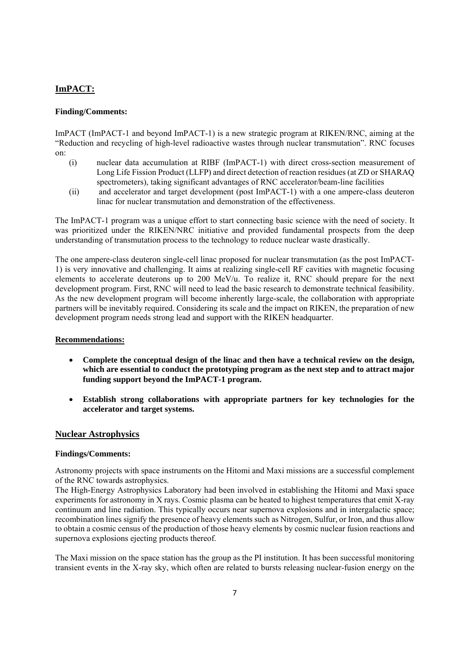# **ImPACT:**

#### **Finding/Comments:**

ImPACT (ImPACT-1 and beyond ImPACT-1) is a new strategic program at RIKEN/RNC, aiming at the "Reduction and recycling of high-level radioactive wastes through nuclear transmutation". RNC focuses on:

- (i) nuclear data accumulation at RIBF (ImPACT-1) with direct cross-section measurement of Long Life Fission Product (LLFP) and direct detection of reaction residues (at ZD or SHARAQ spectrometers), taking significant advantages of RNC accelerator/beam-line facilities
- (ii) and accelerator and target development (post ImPACT-1) with a one ampere-class deuteron linac for nuclear transmutation and demonstration of the effectiveness.

The ImPACT-1 program was a unique effort to start connecting basic science with the need of society. It was prioritized under the RIKEN/NRC initiative and provided fundamental prospects from the deep understanding of transmutation process to the technology to reduce nuclear waste drastically.

The one ampere-class deuteron single-cell linac proposed for nuclear transmutation (as the post ImPACT-1) is very innovative and challenging. It aims at realizing single-cell RF cavities with magnetic focusing elements to accelerate deuterons up to 200 MeV/u. To realize it, RNC should prepare for the next development program. First, RNC will need to lead the basic research to demonstrate technical feasibility. As the new development program will become inherently large-scale, the collaboration with appropriate partners will be inevitably required. Considering its scale and the impact on RIKEN, the preparation of new development program needs strong lead and support with the RIKEN headquarter.

#### **Recommendations:**

- **Complete the conceptual design of the linac and then have a technical review on the design, which are essential to conduct the prototyping program as the next step and to attract major funding support beyond the ImPACT-1 program.**
- **Establish strong collaborations with appropriate partners for key technologies for the accelerator and target systems.**

## **Nuclear Astrophysics**

#### **Findings/Comments:**

Astronomy projects with space instruments on the Hitomi and Maxi missions are a successful complement of the RNC towards astrophysics.

The High-Energy Astrophysics Laboratory had been involved in establishing the Hitomi and Maxi space experiments for astronomy in X rays. Cosmic plasma can be heated to highest temperatures that emit X-ray continuum and line radiation. This typically occurs near supernova explosions and in intergalactic space; recombination lines signify the presence of heavy elements such as Nitrogen, Sulfur, or Iron, and thus allow to obtain a cosmic census of the production of those heavy elements by cosmic nuclear fusion reactions and supernova explosions ejecting products thereof.

The Maxi mission on the space station has the group as the PI institution. It has been successful monitoring transient events in the X-ray sky, which often are related to bursts releasing nuclear-fusion energy on the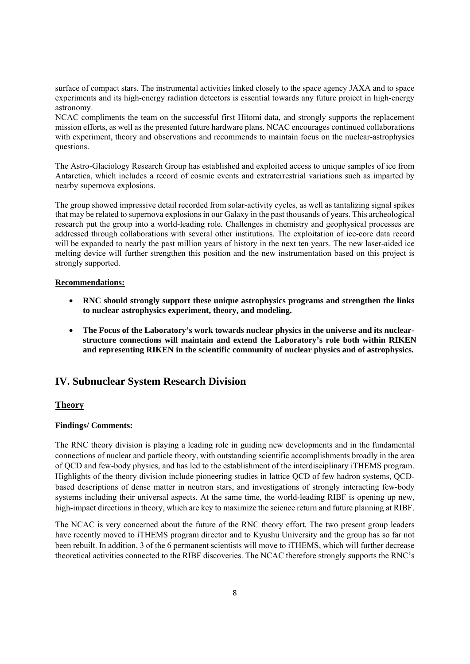surface of compact stars. The instrumental activities linked closely to the space agency JAXA and to space experiments and its high-energy radiation detectors is essential towards any future project in high-energy astronomy.

NCAC compliments the team on the successful first Hitomi data, and strongly supports the replacement mission efforts, as well as the presented future hardware plans. NCAC encourages continued collaborations with experiment, theory and observations and recommends to maintain focus on the nuclear-astrophysics questions.

The Astro-Glaciology Research Group has established and exploited access to unique samples of ice from Antarctica, which includes a record of cosmic events and extraterrestrial variations such as imparted by nearby supernova explosions.

The group showed impressive detail recorded from solar-activity cycles, as well as tantalizing signal spikes that may be related to supernova explosions in our Galaxy in the past thousands of years. This archeological research put the group into a world-leading role. Challenges in chemistry and geophysical processes are addressed through collaborations with several other institutions. The exploitation of ice-core data record will be expanded to nearly the past million years of history in the next ten years. The new laser-aided ice melting device will further strengthen this position and the new instrumentation based on this project is strongly supported.

#### **Recommendations:**

- **RNC should strongly support these unique astrophysics programs and strengthen the links to nuclear astrophysics experiment, theory, and modeling.**
- The Focus of the Laboratory's work towards nuclear physics in the universe and its nuclear**structure connections will maintain and extend the Laboratory's role both within RIKEN and representing RIKEN in the scientific community of nuclear physics and of astrophysics.**

# **IV. Subnuclear System Research Division**

#### **Theory**

#### **Findings/ Comments:**

The RNC theory division is playing a leading role in guiding new developments and in the fundamental connections of nuclear and particle theory, with outstanding scientific accomplishments broadly in the area of QCD and few-body physics, and has led to the establishment of the interdisciplinary iTHEMS program. Highlights of the theory division include pioneering studies in lattice QCD of few hadron systems, QCDbased descriptions of dense matter in neutron stars, and investigations of strongly interacting few-body systems including their universal aspects. At the same time, the world-leading RIBF is opening up new, high-impact directions in theory, which are key to maximize the science return and future planning at RIBF.

The NCAC is very concerned about the future of the RNC theory effort. The two present group leaders have recently moved to iTHEMS program director and to Kyushu University and the group has so far not been rebuilt. In addition, 3 of the 6 permanent scientists will move to iTHEMS, which will further decrease theoretical activities connected to the RIBF discoveries. The NCAC therefore strongly supports the RNC's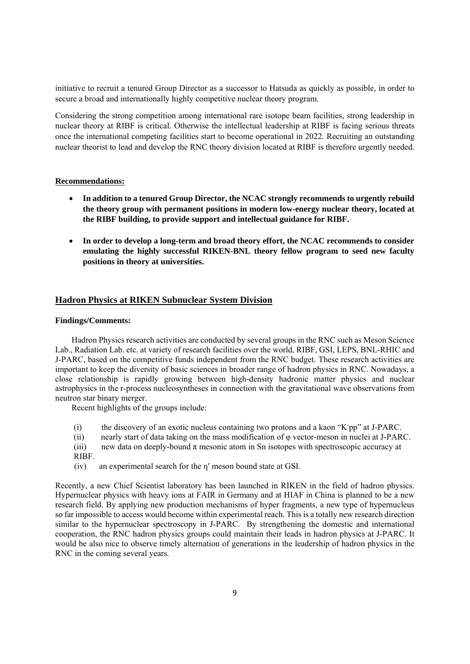initiative to recruit a tenured Group Director as a successor to Hatsuda as quickly as possible, in order to secure a broad and internationally highly competitive nuclear theory program.

Considering the strong competition among international rare isotope beam facilities, strong leadership in nuclear theory at RIBF is critical. Otherwise the intellectual leadership at RIBF is facing serious threats once the international competing facilities start to become operational in 2022. Recruiting an outstanding nuclear theorist to lead and develop the RNC theory division located at RIBF is therefore urgently needed.

#### **Recommendations:**

- **In addition to a tenured Group Director, the NCAC strongly recommends to urgently rebuild the theory group with permanent positions in modern low-energy nuclear theory, located at the RIBF building, to provide support and intellectual guidance for RIBF.**
- **In order to develop a long-term and broad theory effort, the NCAC recommends to consider emulating the highly successful RIKEN-BNL theory fellow program to seed new faculty positions in theory at universities.**

#### **Hadron Physics at RIKEN Subnuclear System Division**

#### **Findings/Comments:**

Hadron Physics research activities are conducted by several groups in the RNC such as Meson Science Lab., Radiation Lab. etc. at variety of research facilities over the world, RIBF, GSI, LEPS, BNL-RHIC and J-PARC, based on the competitive funds independent from the RNC budget. These research activities are important to keep the diversity of basic sciences in broader range of hadron physics in RNC. Nowadays, a close relationship is rapidly growing between high-density hadronic matter physics and nuclear astrophysics in the r-process nucleosyntheses in connection with the gravitational wave observations from neutron star binary merger.

Recent highlights of the groups include:

- (i) the discovery of an exotic nucleus containing two protons and a kaon "K-pp" at J-PARC.
- (ii) nearly start of data taking on the mass modification of φ vector-meson in nuclei at J-PARC.
- (iii) new data on deeply-bound  $\pi$  mesonic atom in Sn isotopes with spectroscopic accuracy at RIBF.
- (iv) an experimental search for the η′ meson bound state at GSI.

Recently, a new Chief Scientist laboratory has been launched in RIKEN in the field of hadron physics. Hypernuclear physics with heavy ions at FAIR in Germany and at HIAF in China is planned to be a new research field. By applying new production mechanisms of hyper fragments, a new type of hypernucleus so far impossible to access would become within experimental reach. This is a totally new research direction similar to the hypernuclear spectroscopy in J-PARC. By strengthening the domestic and international cooperation, the RNC hadron physics groups could maintain their leads in hadron physics at J-PARC. It would be also nice to observe timely alternation of generations in the leadership of hadron physics in the RNC in the coming several years.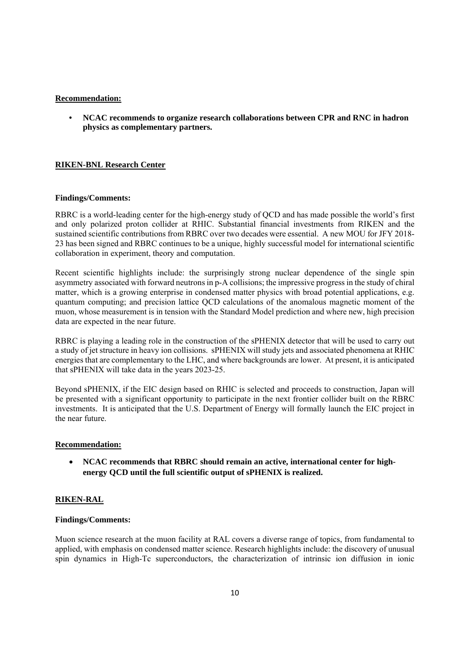#### **Recommendation:**

• **NCAC recommends to organize research collaborations between CPR and RNC in hadron physics as complementary partners.** 

#### **RIKEN-BNL Research Center**

#### **Findings/Comments:**

RBRC is a world-leading center for the high-energy study of QCD and has made possible the world's first and only polarized proton collider at RHIC. Substantial financial investments from RIKEN and the sustained scientific contributions from RBRC over two decades were essential. A new MOU for JFY 2018- 23 has been signed and RBRC continues to be a unique, highly successful model for international scientific collaboration in experiment, theory and computation.

Recent scientific highlights include: the surprisingly strong nuclear dependence of the single spin asymmetry associated with forward neutrons in p-A collisions; the impressive progress in the study of chiral matter, which is a growing enterprise in condensed matter physics with broad potential applications, e.g. quantum computing; and precision lattice QCD calculations of the anomalous magnetic moment of the muon, whose measurement is in tension with the Standard Model prediction and where new, high precision data are expected in the near future.

RBRC is playing a leading role in the construction of the sPHENIX detector that will be used to carry out a study of jet structure in heavy ion collisions. sPHENIX will study jets and associated phenomena at RHIC energies that are complementary to the LHC, and where backgrounds are lower. At present, it is anticipated that sPHENIX will take data in the years 2023-25.

Beyond sPHENIX, if the EIC design based on RHIC is selected and proceeds to construction, Japan will be presented with a significant opportunity to participate in the next frontier collider built on the RBRC investments. It is anticipated that the U.S. Department of Energy will formally launch the EIC project in the near future.

#### **Recommendation:**

 **NCAC recommends that RBRC should remain an active, international center for highenergy QCD until the full scientific output of sPHENIX is realized.** 

#### **RIKEN-RAL**

#### **Findings/Comments:**

Muon science research at the muon facility at RAL covers a diverse range of topics, from fundamental to applied, with emphasis on condensed matter science. Research highlights include: the discovery of unusual spin dynamics in High-Tc superconductors, the characterization of intrinsic ion diffusion in ionic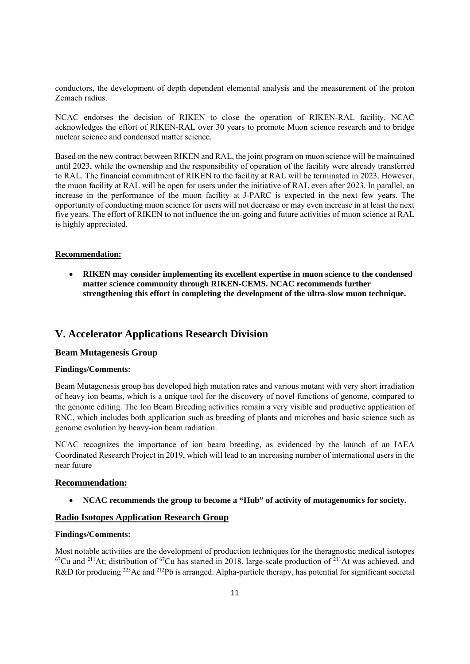conductors, the development of depth dependent elemental analysis and the measurement of the proton Zemach radius.

NCAC endorses the decision of RIKEN to close the operation of RIKEN-RAL facility. NCAC acknowledges the effort of RIKEN-RAL over 30 years to promote Muon science research and to bridge nuclear science and condensed matter science.

Based on the new contract between RIKEN and RAL, the joint program on muon science will be maintained until 2023, while the ownership and the responsibility of operation of the facility were already transferred to RAL. The financial commitment of RIKEN to the facility at RAL will be terminated in 2023. However, the muon facility at RAL will be open for users under the initiative of RAL even after 2023. In parallel, an increase in the performance of the muon facility at J-PARC is expected in the next few years. The opportunity of conducting muon science for users will not decrease or may even increase in at least the next five years. The effort of RIKEN to not influence the on-going and future activities of muon science at RAL is highly appreciated.

#### **Recommendation:**

 **RIKEN may consider implementing its excellent expertise in muon science to the condensed matter science community through RIKEN-CEMS. NCAC recommends further strengthening this effort in completing the development of the ultra-slow muon technique.** 

## **V. Accelerator Applications Research Division**

#### **Beam Mutagenesis Group**

#### **Findings/Comments:**

Beam Mutagenesis group has developed high mutation rates and various mutant with very short irradiation of heavy ion beams, which is a unique tool for the discovery of novel functions of genome, compared to the genome editing. The Ion Beam Breeding activities remain a very visible and productive application of RNC, which includes both application such as breeding of plants and microbes and basic science such as genome evolution by heavy-ion beam radiation.

NCAC recognizes the importance of ion beam breeding, as evidenced by the launch of an IAEA Coordinated Research Project in 2019, which will lead to an increasing number of international users in the near future

#### **Recommendation:**

**NCAC recommends the group to become a "Hub" of activity of mutagenomics for society.** 

#### **Radio Isotopes Application Research Group**

#### **Findings/Comments:**

Most notable activities are the development of production techniques for the theragnostic medical isotopes  $^{67}$ Cu and <sup>211</sup>At; distribution of  $^{67}$ Cu has started in 2018, large-scale production of <sup>211</sup>At was achieved, and R&D for producing <sup>225</sup>Ac and <sup>212</sup>Pb is arranged. Alpha-particle therapy, has potential for significant societal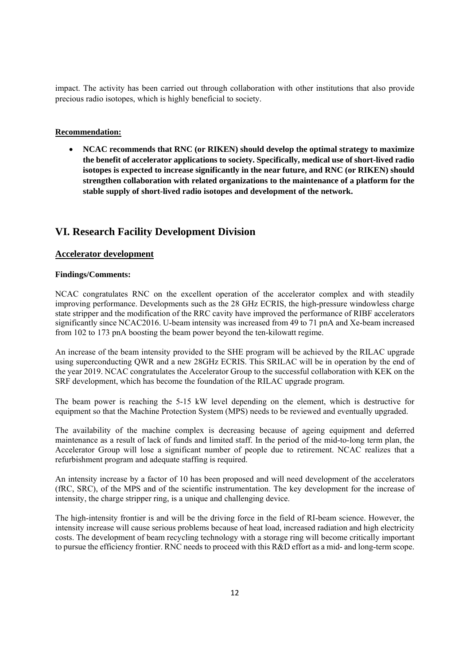impact. The activity has been carried out through collaboration with other institutions that also provide precious radio isotopes, which is highly beneficial to society.

#### **Recommendation:**

 **NCAC recommends that RNC (or RIKEN) should develop the optimal strategy to maximize the benefit of accelerator applications to society. Specifically, medical use of short-lived radio isotopes is expected to increase significantly in the near future, and RNC (or RIKEN) should strengthen collaboration with related organizations to the maintenance of a platform for the stable supply of short-lived radio isotopes and development of the network.** 

# **VI. Research Facility Development Division**

#### **Accelerator development**

#### **Findings/Comments:**

NCAC congratulates RNC on the excellent operation of the accelerator complex and with steadily improving performance. Developments such as the 28 GHz ECRIS, the high-pressure windowless charge state stripper and the modification of the RRC cavity have improved the performance of RIBF accelerators significantly since NCAC2016. U-beam intensity was increased from 49 to 71 pnA and Xe-beam increased from 102 to 173 pnA boosting the beam power beyond the ten-kilowatt regime.

An increase of the beam intensity provided to the SHE program will be achieved by the RILAC upgrade using superconducting QWR and a new 28GHz ECRIS. This SRILAC will be in operation by the end of the year 2019. NCAC congratulates the Accelerator Group to the successful collaboration with KEK on the SRF development, which has become the foundation of the RILAC upgrade program.

The beam power is reaching the 5-15 kW level depending on the element, which is destructive for equipment so that the Machine Protection System (MPS) needs to be reviewed and eventually upgraded.

The availability of the machine complex is decreasing because of ageing equipment and deferred maintenance as a result of lack of funds and limited staff. In the period of the mid-to-long term plan, the Accelerator Group will lose a significant number of people due to retirement. NCAC realizes that a refurbishment program and adequate staffing is required.

An intensity increase by a factor of 10 has been proposed and will need development of the accelerators (fRC, SRC), of the MPS and of the scientific instrumentation. The key development for the increase of intensity, the charge stripper ring, is a unique and challenging device.

The high-intensity frontier is and will be the driving force in the field of RI-beam science. However, the intensity increase will cause serious problems because of heat load, increased radiation and high electricity costs. The development of beam recycling technology with a storage ring will become critically important to pursue the efficiency frontier. RNC needs to proceed with this R&D effort as a mid- and long-term scope.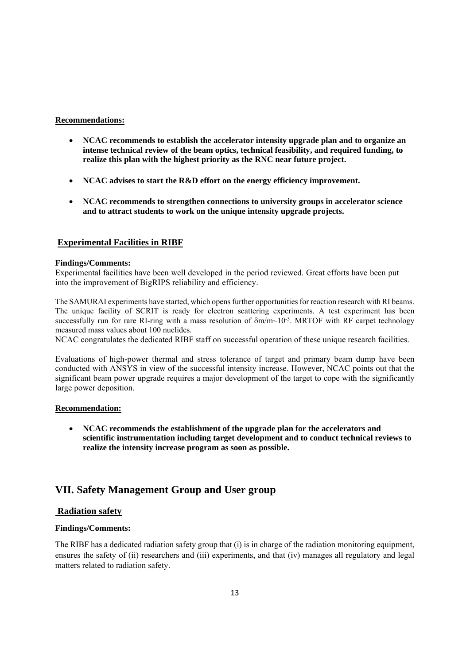#### **Recommendations:**

- **NCAC recommends to establish the accelerator intensity upgrade plan and to organize an intense technical review of the beam optics, technical feasibility, and required funding, to realize this plan with the highest priority as the RNC near future project.**
- **NCAC advises to start the R&D effort on the energy efficiency improvement.**
- **NCAC recommends to strengthen connections to university groups in accelerator science and to attract students to work on the unique intensity upgrade projects.**

#### **Experimental Facilities in RIBF**

#### **Findings/Comments:**

Experimental facilities have been well developed in the period reviewed. Great efforts have been put into the improvement of BigRIPS reliability and efficiency.

The SAMURAI experiments have started, which opens further opportunities for reaction research with RI beams. The unique facility of SCRIT is ready for electron scattering experiments. A test experiment has been successfully run for rare RI-ring with a mass resolution of  $\delta m/m$  -10<sup>-5</sup>. MRTOF with RF carpet technology measured mass values about 100 nuclides.

NCAC congratulates the dedicated RIBF staff on successful operation of these unique research facilities.

Evaluations of high-power thermal and stress tolerance of target and primary beam dump have been conducted with ANSYS in view of the successful intensity increase. However, NCAC points out that the significant beam power upgrade requires a major development of the target to cope with the significantly large power deposition.

#### **Recommendation:**

 **NCAC recommends the establishment of the upgrade plan for the accelerators and scientific instrumentation including target development and to conduct technical reviews to realize the intensity increase program as soon as possible.**

# **VII. Safety Management Group and User group**

#### **Radiation safety**

#### **Findings/Comments:**

The RIBF has a dedicated radiation safety group that (i) is in charge of the radiation monitoring equipment, ensures the safety of (ii) researchers and (iii) experiments, and that (iv) manages all regulatory and legal matters related to radiation safety.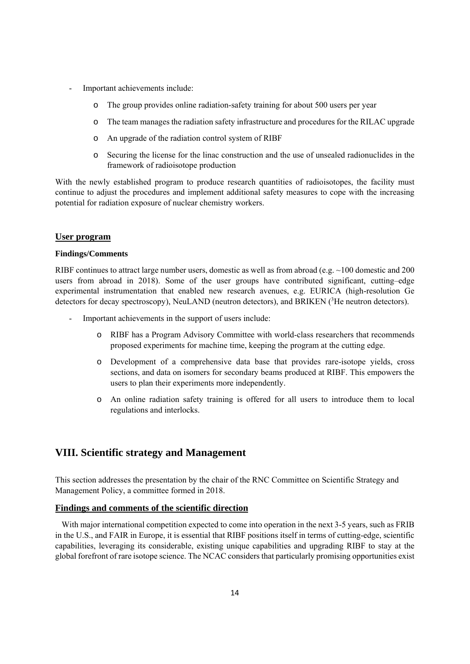- Important achievements include:
	- o The group provides online radiation-safety training for about 500 users per year
	- o The team manages the radiation safety infrastructure and procedures for the RILAC upgrade
	- o An upgrade of the radiation control system of RIBF
	- o Securing the license for the linac construction and the use of unsealed radionuclides in the framework of radioisotope production

With the newly established program to produce research quantities of radioisotopes, the facility must continue to adjust the procedures and implement additional safety measures to cope with the increasing potential for radiation exposure of nuclear chemistry workers.

#### **User program**

#### **Findings/Comments**

RIBF continues to attract large number users, domestic as well as from abroad (e.g.  $\sim$ 100 domestic and 200 users from abroad in 2018). Some of the user groups have contributed significant, cutting–edge experimental instrumentation that enabled new research avenues, e.g. EURICA (high-resolution Ge detectors for decay spectroscopy), NeuLAND (neutron detectors), and BRIKEN  $(^{3}$ He neutron detectors).

- Important achievements in the support of users include:
	- o RIBF has a Program Advisory Committee with world-class researchers that recommends proposed experiments for machine time, keeping the program at the cutting edge.
	- o Development of a comprehensive data base that provides rare-isotope yields, cross sections, and data on isomers for secondary beams produced at RIBF. This empowers the users to plan their experiments more independently.
	- o An online radiation safety training is offered for all users to introduce them to local regulations and interlocks.

## **VIII. Scientific strategy and Management**

This section addresses the presentation by the chair of the RNC Committee on Scientific Strategy and Management Policy, a committee formed in 2018.

#### **Findings and comments of the scientific direction**

With major international competition expected to come into operation in the next 3-5 years, such as FRIB in the U.S., and FAIR in Europe, it is essential that RIBF positions itself in terms of cutting-edge, scientific capabilities, leveraging its considerable, existing unique capabilities and upgrading RIBF to stay at the global forefront of rare isotope science. The NCAC considers that particularly promising opportunities exist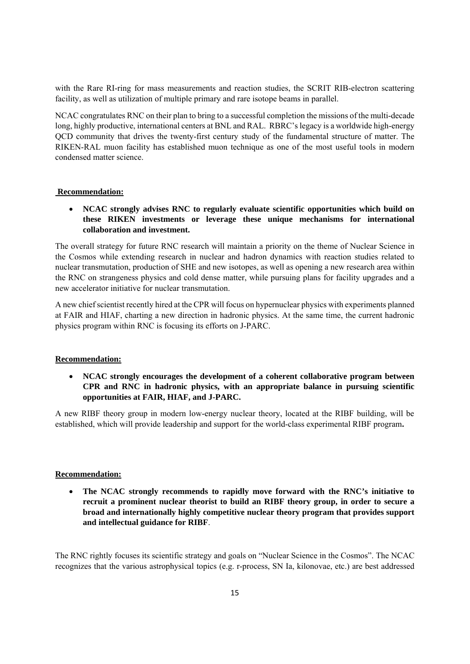with the Rare RI-ring for mass measurements and reaction studies, the SCRIT RIB-electron scattering facility, as well as utilization of multiple primary and rare isotope beams in parallel.

NCAC congratulates RNC on their plan to bring to a successful completion the missions of the multi-decade long, highly productive, international centers at BNL and RAL. RBRC's legacy is a worldwide high-energy QCD community that drives the twenty-first century study of the fundamental structure of matter. The RIKEN-RAL muon facility has established muon technique as one of the most useful tools in modern condensed matter science.

#### **Recommendation:**

 **NCAC strongly advises RNC to regularly evaluate scientific opportunities which build on these RIKEN investments or leverage these unique mechanisms for international collaboration and investment.**

The overall strategy for future RNC research will maintain a priority on the theme of Nuclear Science in the Cosmos while extending research in nuclear and hadron dynamics with reaction studies related to nuclear transmutation, production of SHE and new isotopes, as well as opening a new research area within the RNC on strangeness physics and cold dense matter, while pursuing plans for facility upgrades and a new accelerator initiative for nuclear transmutation.

A new chief scientist recently hired at the CPR will focus on hypernuclear physics with experiments planned at FAIR and HIAF, charting a new direction in hadronic physics. At the same time, the current hadronic physics program within RNC is focusing its efforts on J-PARC.

#### **Recommendation:**

 **NCAC strongly encourages the development of a coherent collaborative program between CPR and RNC in hadronic physics, with an appropriate balance in pursuing scientific opportunities at FAIR, HIAF, and J-PARC.**

A new RIBF theory group in modern low-energy nuclear theory, located at the RIBF building, will be established, which will provide leadership and support for the world-class experimental RIBF program**.**

#### **Recommendation:**

 **The NCAC strongly recommends to rapidly move forward with the RNC's initiative to recruit a prominent nuclear theorist to build an RIBF theory group, in order to secure a broad and internationally highly competitive nuclear theory program that provides support and intellectual guidance for RIBF**.

The RNC rightly focuses its scientific strategy and goals on "Nuclear Science in the Cosmos". The NCAC recognizes that the various astrophysical topics (e.g. r-process, SN Ia, kilonovae, etc.) are best addressed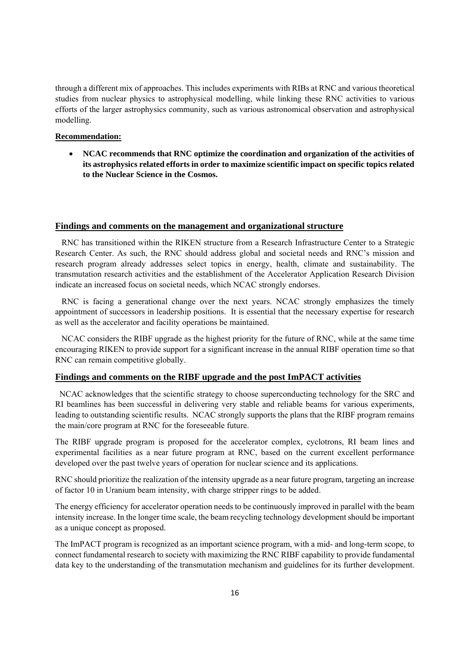through a different mix of approaches. This includes experiments with RIBs at RNC and various theoretical studies from nuclear physics to astrophysical modelling, while linking these RNC activities to various efforts of the larger astrophysics community, such as various astronomical observation and astrophysical modelling.

#### **Recommendation:**

 **NCAC recommends that RNC optimize the coordination and organization of the activities of its astrophysics related efforts in order to maximize scientific impact on specific topics related to the Nuclear Science in the Cosmos.**

#### **Findings and comments on the management and organizational structure**

 RNC has transitioned within the RIKEN structure from a Research Infrastructure Center to a Strategic Research Center. As such, the RNC should address global and societal needs and RNC's mission and research program already addresses select topics in energy, health, climate and sustainability. The transmutation research activities and the establishment of the Accelerator Application Research Division indicate an increased focus on societal needs, which NCAC strongly endorses.

 RNC is facing a generational change over the next years. NCAC strongly emphasizes the timely appointment of successors in leadership positions. It is essential that the necessary expertise for research as well as the accelerator and facility operations be maintained.

 NCAC considers the RIBF upgrade as the highest priority for the future of RNC, while at the same time encouraging RIKEN to provide support for a significant increase in the annual RIBF operation time so that RNC can remain competitive globally.

#### **Findings and comments on the RIBF upgrade and the post ImPACT activities**

 NCAC acknowledges that the scientific strategy to choose superconducting technology for the SRC and RI beamlines has been successful in delivering very stable and reliable beams for various experiments, leading to outstanding scientific results. NCAC strongly supports the plans that the RIBF program remains the main/core program at RNC for the foreseeable future.

The RIBF upgrade program is proposed for the accelerator complex, cyclotrons, RI beam lines and experimental facilities as a near future program at RNC, based on the current excellent performance developed over the past twelve years of operation for nuclear science and its applications.

RNC should prioritize the realization of the intensity upgrade as a near future program, targeting an increase of factor 10 in Uranium beam intensity, with charge stripper rings to be added.

The energy efficiency for accelerator operation needs to be continuously improved in parallel with the beam intensity increase. In the longer time scale, the beam recycling technology development should be important as a unique concept as proposed.

The ImPACT program is recognized as an important science program, with a mid- and long-term scope, to connect fundamental research to society with maximizing the RNC RIBF capability to provide fundamental data key to the understanding of the transmutation mechanism and guidelines for its further development.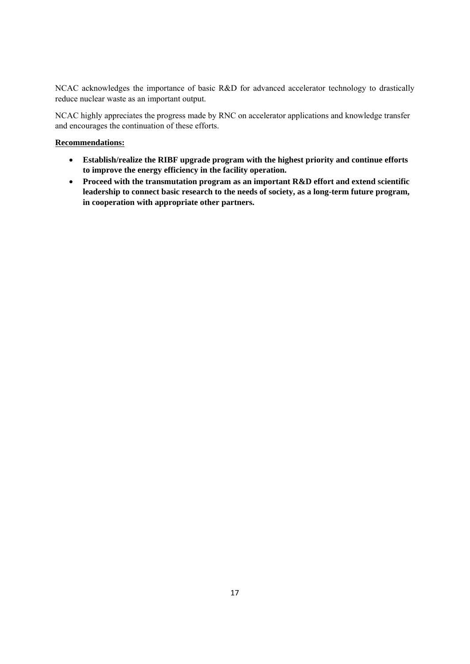NCAC acknowledges the importance of basic R&D for advanced accelerator technology to drastically reduce nuclear waste as an important output.

NCAC highly appreciates the progress made by RNC on accelerator applications and knowledge transfer and encourages the continuation of these efforts.

#### **Recommendations:**

- **Establish/realize the RIBF upgrade program with the highest priority and continue efforts to improve the energy efficiency in the facility operation.**
- **Proceed with the transmutation program as an important R&D effort and extend scientific leadership to connect basic research to the needs of society, as a long-term future program, in cooperation with appropriate other partners.**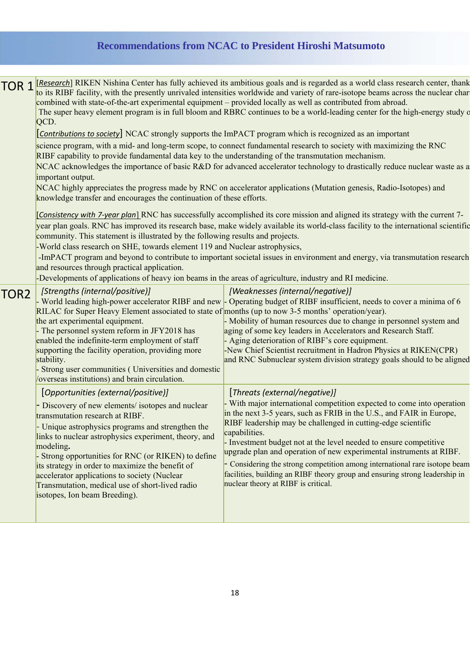# **Recommendations from NCAC to President Hiroshi Matsumoto**

| [Research] RIKEN Nishina Center has fully achieved its ambitious goals and is regarded as a world class research center, thank<br>to its RIBF facility, with the presently unrivaled intensities worldwide and variety of rare-isotope beams across the nuclear char<br>combined with state-of-the-art experimental equipment – provided locally as well as contributed from abroad.<br>The super heavy element program is in full bloom and RBRC continues to be a world-leading center for the high-energy study of<br>[Contributions to society] NCAC strongly supports the ImPACT program which is recognized as an important<br>science program, with a mid- and long-term scope, to connect fundamental research to society with maximizing the RNC<br>RIBF capability to provide fundamental data key to the understanding of the transmutation mechanism.<br>NCAC acknowledges the importance of basic R&D for advanced accelerator technology to drastically reduce nuclear waste as a<br>NCAC highly appreciates the progress made by RNC on accelerator applications (Mutation genesis, Radio-Isotopes) and<br>knowledge transfer and encourages the continuation of these efforts.<br>[Consistency with 7-year plan] RNC has successfully accomplished its core mission and aligned its strategy with the current 7-<br>year plan goals. RNC has improved its research base, make widely available its world-class facility to the international scientific<br>community. This statement is illustrated by the following results and projects.<br>-World class research on SHE, towards element 119 and Nuclear astrophysics,<br>-ImPACT program and beyond to contribute to important societal issues in environment and energy, via transmutation research |                                                                                                                                                                                                                                                                                                                                                                                                                                                                                                                                                                                                                  |  |  |  |  |
|--------------------------------------------------------------------------------------------------------------------------------------------------------------------------------------------------------------------------------------------------------------------------------------------------------------------------------------------------------------------------------------------------------------------------------------------------------------------------------------------------------------------------------------------------------------------------------------------------------------------------------------------------------------------------------------------------------------------------------------------------------------------------------------------------------------------------------------------------------------------------------------------------------------------------------------------------------------------------------------------------------------------------------------------------------------------------------------------------------------------------------------------------------------------------------------------------------------------------------------------------------------------------------------------------------------------------------------------------------------------------------------------------------------------------------------------------------------------------------------------------------------------------------------------------------------------------------------------------------------------------------------------------------------------------------------------------------------------------------------------------------------------------|------------------------------------------------------------------------------------------------------------------------------------------------------------------------------------------------------------------------------------------------------------------------------------------------------------------------------------------------------------------------------------------------------------------------------------------------------------------------------------------------------------------------------------------------------------------------------------------------------------------|--|--|--|--|
| [Strengths (internal/positive)]<br>RILAC for Super Heavy Element associated to state of months (up to now 3-5 months' operation/year).<br>the art experimental equipment.<br>- The personnel system reform in JFY2018 has<br>enabled the indefinite-term employment of staff<br>supporting the facility operation, providing more<br>stability.<br>- Strong user communities (Universities and domestic<br>/overseas institutions) and brain circulation.                                                                                                                                                                                                                                                                                                                                                                                                                                                                                                                                                                                                                                                                                                                                                                                                                                                                                                                                                                                                                                                                                                                                                                                                                                                                                                                | [Weaknesses (internal/negative)]<br>- World leading high-power accelerator RIBF and new - Operating budget of RIBF insufficient, needs to cover a minima of 6<br>- Mobility of human resources due to change in personnel system and<br>aging of some key leaders in Accelerators and Research Staff.<br>- Aging deterioration of RIBF's core equipment.<br>-New Chief Scientist recruitment in Hadron Physics at RIKEN(CPR)<br>and RNC Subnuclear system division strategy goals should to be aligned                                                                                                           |  |  |  |  |
| [Opportunities (external/positive)]<br>- Discovery of new elements/ isotopes and nuclear<br>transmutation research at RIBF.<br>- Unique astrophysics programs and strengthen the<br>links to nuclear astrophysics experiment, theory, and<br>modeling.<br>- Strong opportunities for RNC (or RIKEN) to define<br>its strategy in order to maximize the benefit of<br>accelerator applications to society (Nuclear<br>Transmutation, medical use of short-lived radio<br>isotopes, Ion beam Breeding).                                                                                                                                                                                                                                                                                                                                                                                                                                                                                                                                                                                                                                                                                                                                                                                                                                                                                                                                                                                                                                                                                                                                                                                                                                                                    | [Threats (external/negative)]<br>- With major international competition expected to come into operation<br>in the next 3-5 years, such as FRIB in the U.S., and FAIR in Europe,<br>RIBF leadership may be challenged in cutting-edge scientific<br>capabilities.<br>- Investment budget not at the level needed to ensure competitive<br>upgrade plan and operation of new experimental instruments at RIBF.<br>- Considering the strong competition among international rare isotope beam<br>facilities, building an RIBF theory group and ensuring strong leadership in<br>nuclear theory at RIBF is critical. |  |  |  |  |
|                                                                                                                                                                                                                                                                                                                                                                                                                                                                                                                                                                                                                                                                                                                                                                                                                                                                                                                                                                                                                                                                                                                                                                                                                                                                                                                                                                                                                                                                                                                                                                                                                                                                                                                                                                          | QCD.<br>important output.<br>and resources through practical application.<br>-Developments of applications of heavy ion beams in the areas of agriculture, industry and RI medicine.                                                                                                                                                                                                                                                                                                                                                                                                                             |  |  |  |  |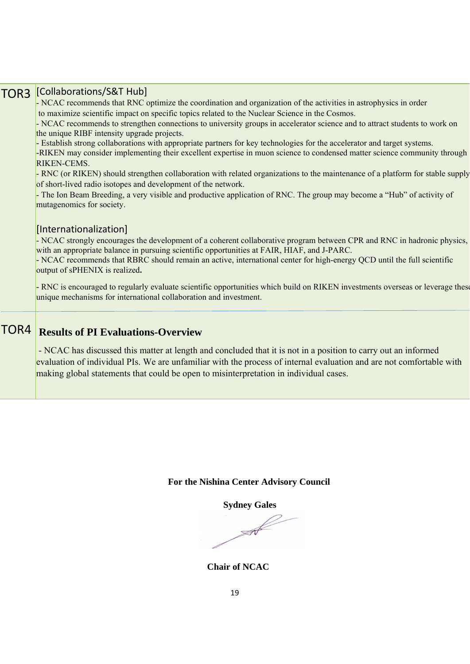| [Collaborations/S&T Hub]<br>- NCAC recommends that RNC optimize the coordination and organization of the activities in astrophysics in order                                                                                                                                                                                    |  |  |  |  |  |  |
|---------------------------------------------------------------------------------------------------------------------------------------------------------------------------------------------------------------------------------------------------------------------------------------------------------------------------------|--|--|--|--|--|--|
| to maximize scientific impact on specific topics related to the Nuclear Science in the Cosmos.                                                                                                                                                                                                                                  |  |  |  |  |  |  |
| - NCAC recommends to strengthen connections to university groups in accelerator science and to attract students to work on<br>the unique RIBF intensity upgrade projects.                                                                                                                                                       |  |  |  |  |  |  |
| - Establish strong collaborations with appropriate partners for key technologies for the accelerator and target systems.<br>-RIKEN may consider implementing their excellent expertise in muon science to condensed matter science community through                                                                            |  |  |  |  |  |  |
| RIKEN-CEMS.                                                                                                                                                                                                                                                                                                                     |  |  |  |  |  |  |
| - RNC (or RIKEN) should strengthen collaboration with related organizations to the maintenance of a platform for stable supply<br>of short-lived radio isotopes and development of the network.                                                                                                                                 |  |  |  |  |  |  |
| - The Ion Beam Breeding, a very visible and productive application of RNC. The group may become a "Hub" of activity of<br>mutagenomics for society.                                                                                                                                                                             |  |  |  |  |  |  |
| [Internationalization]                                                                                                                                                                                                                                                                                                          |  |  |  |  |  |  |
| - NCAC strongly encourages the development of a coherent collaborative program between CPR and RNC in hadronic physics,<br>with an appropriate balance in pursuing scientific opportunities at FAIR, HIAF, and J-PARC.                                                                                                          |  |  |  |  |  |  |
| - NCAC recommends that RBRC should remain an active, international center for high-energy QCD until the full scientific<br>output of sPHENIX is realized.                                                                                                                                                                       |  |  |  |  |  |  |
| - RNC is encouraged to regularly evaluate scientific opportunities which build on RIKEN investments overseas or leverage these<br>unique mechanisms for international collaboration and investment.                                                                                                                             |  |  |  |  |  |  |
| <b>Results of PI Evaluations-Overview</b>                                                                                                                                                                                                                                                                                       |  |  |  |  |  |  |
| - NCAC has discussed this matter at length and concluded that it is not in a position to carry out an informed<br>evaluation of individual PIs. We are unfamiliar with the process of internal evaluation and are not comfortable with<br>making global statements that could be open to misinterpretation in individual cases. |  |  |  |  |  |  |
|                                                                                                                                                                                                                                                                                                                                 |  |  |  |  |  |  |

# **For the Nishina Center Advisory Council**

 **Sydney Gales** 

 $\mathcal{A}$ 

 **Chair of NCAC**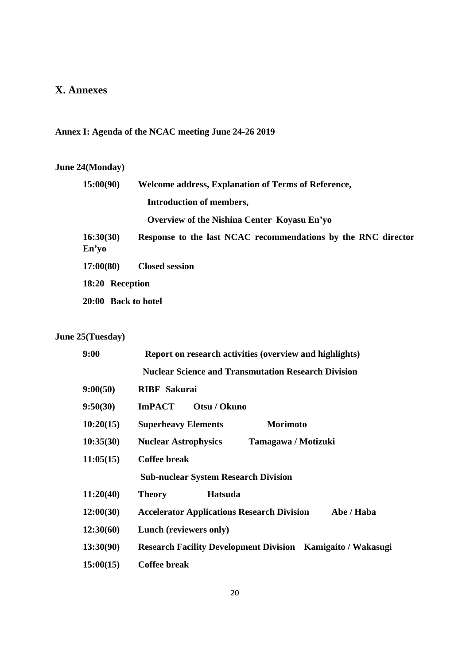# **X. Annexes**

# **Annex I: Agenda of the NCAC meeting June 24-26 2019**

# **June 24(Monday)**

| 15:00(90)          | <b>Welcome address, Explanation of Terms of Reference,</b>    |
|--------------------|---------------------------------------------------------------|
|                    | <b>Introduction of members,</b>                               |
|                    | Overview of the Nishina Center Koyasu En'yo                   |
| 16:30(30)<br>En'yo | Response to the last NCAC recommendations by the RNC director |
| 17:00(80)          | <b>Closed session</b>                                         |
| 18:20 Reception    |                                                               |
|                    | 20:00 Back to hotel                                           |

# **June 25(Tuesday)**

| 9:00      | Report on research activities (overview and highlights)            |  |  |  |  |  |
|-----------|--------------------------------------------------------------------|--|--|--|--|--|
|           | <b>Nuclear Science and Transmutation Research Division</b>         |  |  |  |  |  |
| 9:00(50)  | <b>RIBF</b> Sakurai                                                |  |  |  |  |  |
| 9:50(30)  | <b>ImPACT</b><br>Otsu / Okuno                                      |  |  |  |  |  |
| 10:20(15) | <b>Morimoto</b><br><b>Superheavy Elements</b>                      |  |  |  |  |  |
| 10:35(30) | <b>Nuclear Astrophysics</b><br>Tamagawa / Motizuki                 |  |  |  |  |  |
| 11:05(15) | <b>Coffee break</b>                                                |  |  |  |  |  |
|           | <b>Sub-nuclear System Research Division</b>                        |  |  |  |  |  |
| 11:20(40) | <b>Theory</b><br><b>Hatsuda</b>                                    |  |  |  |  |  |
| 12:00(30) | <b>Accelerator Applications Research Division</b><br>Abe / Haba    |  |  |  |  |  |
| 12:30(60) | Lunch (reviewers only)                                             |  |  |  |  |  |
| 13:30(90) | <b>Research Facility Development Division Kamigaito / Wakasugi</b> |  |  |  |  |  |
| 15:00(15) | <b>Coffee break</b>                                                |  |  |  |  |  |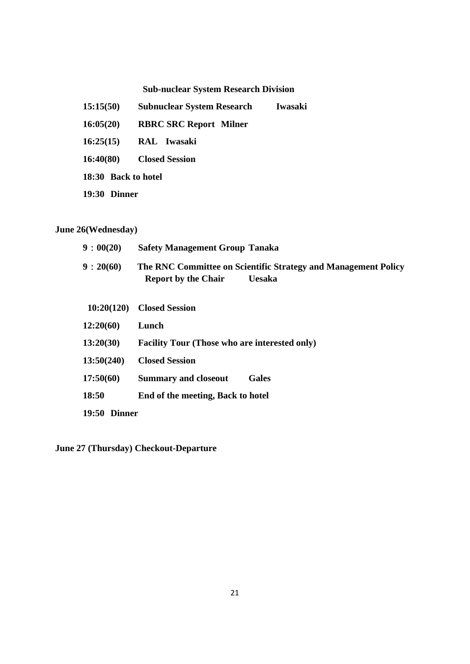# **Sub-nuclear System Research Division**

- **15:15(50) Subnuclear System Research Iwasaki**
- **16:05(20) RBRC SRC Report Milner**
- **16:25(15) RAL Iwasaki**
- **16:40(80) Closed Session**
- **18:30 Back to hotel**
- **19:30 Dinner**

# **June 26(Wednesday)**

| 9:00(20)     | <b>Safety Management Group Tanaka</b>                                                                         |
|--------------|---------------------------------------------------------------------------------------------------------------|
| 9:20(60)     | The RNC Committee on Scientific Strategy and Management Policy<br><b>Report by the Chair</b><br><b>Uesaka</b> |
| 10:20(120)   | <b>Closed Session</b>                                                                                         |
| 12:20(60)    | Lunch                                                                                                         |
| 13:20(30)    | <b>Facility Tour (Those who are interested only)</b>                                                          |
| 13:50(240)   | <b>Closed Session</b>                                                                                         |
| 17:50(60)    | <b>Summary and closeout</b><br><b>Gales</b>                                                                   |
| 18:50        | End of the meeting, Back to hotel                                                                             |
| 19:50 Dinner |                                                                                                               |
|              |                                                                                                               |

**June 27 (Thursday) Checkout-Departure**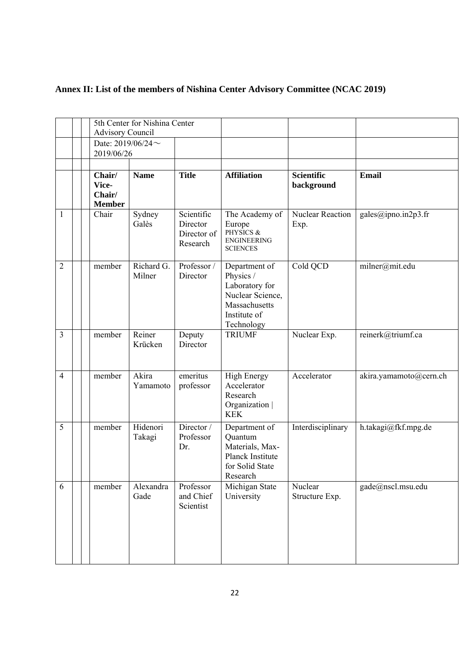| Annex II: List of the members of Nishina Center Advisory Committee (NCAC 2019) |  |  |  |
|--------------------------------------------------------------------------------|--|--|--|
|--------------------------------------------------------------------------------|--|--|--|

|                | 5th Center for Nishina Center<br><b>Advisory Council</b> |                      |                                                   |                                                                                                                 |                                 |                        |
|----------------|----------------------------------------------------------|----------------------|---------------------------------------------------|-----------------------------------------------------------------------------------------------------------------|---------------------------------|------------------------|
|                | Date: $2019/06/24$ ~<br>2019/06/26                       |                      |                                                   |                                                                                                                 |                                 |                        |
|                |                                                          |                      |                                                   |                                                                                                                 |                                 |                        |
|                | Chair/<br>Vice-<br>Chair/<br><b>Member</b>               | <b>Name</b>          | <b>Title</b>                                      | <b>Affiliation</b>                                                                                              | <b>Scientific</b><br>background | <b>Email</b>           |
| 1              | Chair                                                    | Sydney<br>Galès      | Scientific<br>Director<br>Director of<br>Research | The Academy of<br>Europe<br>PHYSICS &<br><b>ENGINEERING</b><br><b>SCIENCES</b>                                  | <b>Nuclear Reaction</b><br>Exp. | gales@ipno.in2p3.fr    |
| $\overline{2}$ | member                                                   | Richard G.<br>Milner | Professor /<br>Director                           | Department of<br>Physics /<br>Laboratory for<br>Nuclear Science,<br>Massachusetts<br>Institute of<br>Technology | Cold QCD                        | milner@mit.edu         |
| 3              | member                                                   | Reiner<br>Krücken    | Deputy<br>Director                                | <b>TRIUMF</b>                                                                                                   | Nuclear Exp.                    | reinerk@triumf.ca      |
| 4              | member                                                   | Akira<br>Yamamoto    | emeritus<br>professor                             | <b>High Energy</b><br>Accelerator<br>Research<br>Organization  <br><b>KEK</b>                                   | Accelerator                     | akira.yamamoto@cern.ch |
| 5              | member                                                   | Hidenori<br>Takagi   | Director /<br>Professor<br>Dr.                    | Department of<br>Quantum<br>Materials, Max-<br>Planck Institute<br>for Solid State<br>Research                  | Interdisciplinary               | h.takagi@fkf.mpg.de    |
| 6              | member                                                   | Alexandra<br>Gade    | Professor<br>and Chief<br>Scientist               | Michigan State<br>University                                                                                    | Nuclear<br>Structure Exp.       | gade@nscl.msu.edu      |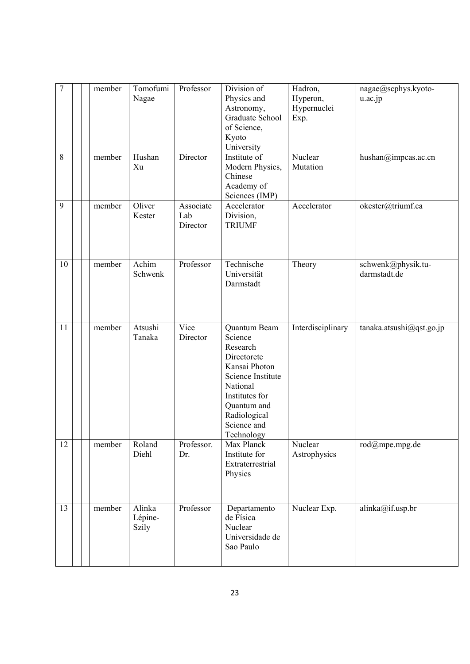| $\overline{7}$ | member | Tomofumi<br>Nagae          | Professor                    | Division of<br>Physics and<br>Astronomy,<br>Graduate School<br>of Science,<br>Kyoto<br>University                                                                                  | Hadron,<br>Hyperon,<br>Hypernuclei<br>Exp. | nagae@scphys.kyoto-<br>u.ac.jp     |
|----------------|--------|----------------------------|------------------------------|------------------------------------------------------------------------------------------------------------------------------------------------------------------------------------|--------------------------------------------|------------------------------------|
| 8              | member | Hushan<br>Xu               | Director                     | Institute of<br>Modern Physics,<br>Chinese<br>Academy of<br>Sciences (IMP)                                                                                                         | Nuclear<br>Mutation                        | hushan@impcas.ac.cn                |
| 9              | member | Oliver<br>Kester           | Associate<br>Lab<br>Director | Accelerator<br>Division,<br><b>TRIUMF</b>                                                                                                                                          | Accelerator                                | okester@triumf.ca                  |
| 10             | member | Achim<br>Schwenk           | Professor                    | Technische<br>Universität<br>Darmstadt                                                                                                                                             | Theory                                     | schwenk@physik.tu-<br>darmstadt.de |
| 11             | member | Atsushi<br>Tanaka          | Vice<br>Director             | Quantum Beam<br>Science<br>Research<br>Directorete<br>Kansai Photon<br>Science Institute<br>National<br>Institutes for<br>Quantum and<br>Radiological<br>Science and<br>Technology | Interdisciplinary                          | tanaka.atsushi@qst.go.jp           |
| 12             | member | Roland<br>Diehl            | Professor.<br>Dr.            | Max Planck<br>Institute for<br>Extraterrestrial<br>Physics                                                                                                                         | Nuclear<br>Astrophysics                    | rod@mpe.mpg.de                     |
| 13             | member | Alinka<br>Lépine-<br>Szily | Professor                    | Departamento<br>de Física<br>Nuclear<br>Universidade de<br>Sao Paulo                                                                                                               | Nuclear Exp.                               | alinka@if.usp.br                   |